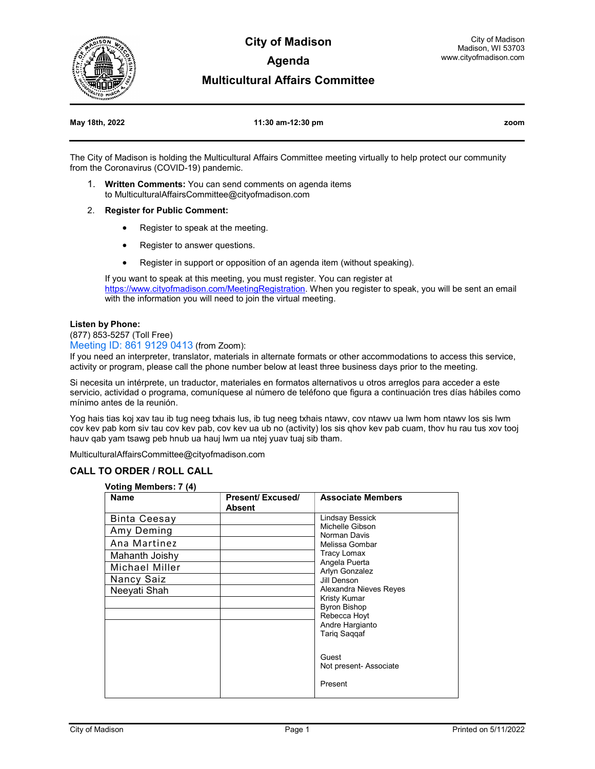

**City of Madison Agenda** 

## **Multicultural Affairs Committee**

#### **May 18th, 2022 11:30 am-12:30 pm zoom**

The City of Madison is holding the Multicultural Affairs Committee meeting virtually to help protect our community from the Coronavirus (COVID-19) pandemic.

- 1. **Written Comments:** You can send comments on agenda items to MulticulturalAffairsCommittee@cityofmadison.com
- 2. **Register for Public Comment:**
	- Register to speak at the meeting.
	- Register to answer questions.
	- Register in support or opposition of an agenda item (without speaking).

If you want to speak at this meeting, you must register. You can register at https://www.cityofmadison.com/MeetingRegistration</u>. When you register to speak, you will be sent an email with the information you will need to join the virtual meeting.

#### **Listen by Phone:**

(877) 853-5257 (Toll Free)

Meeting ID: 861 9129 0413 (from Zoom):

If you need an interpreter, translator, materials in alternate formats or other accommodations to access this service, activity or program, please call the phone number below at least three business days prior to the meeting.

Si necesita un intérprete, un traductor, materiales en formatos alternativos u otros arreglos para acceder a este servicio, actividad o programa, comuníquese al número de teléfono que figura a continuación tres días hábiles como mínimo antes de la reunión.

Yog hais tias koj xav tau ib tug neeg txhais lus, ib tug neeg txhais ntawv, cov ntawv ua lwm hom ntawv los sis lwm cov kev pab kom siv tau cov kev pab, cov kev ua ub no (activity) los sis qhov kev pab cuam, thov hu rau tus xov tooj hauv qab yam tsawg peb hnub ua hauj lwm ua ntej yuav tuaj sib tham.

MulticulturalAffairsCommittee@cityofmadison.com

### **CALL TO ORDER / ROLL CALL**

#### **Voting Members: 7 (4)**

| Name                | Present/ Excused/ | <b>Associate Members</b>                                                                                                              |
|---------------------|-------------------|---------------------------------------------------------------------------------------------------------------------------------------|
|                     | <b>Absent</b>     |                                                                                                                                       |
| <b>Binta Ceesay</b> |                   | Lindsay Bessick<br>Michelle Gibson<br>Norman Davis<br>Melissa Gombar<br>Tracy Lomax<br>Angela Puerta<br>Arlyn Gonzalez<br>Jill Denson |
| Amy Deming          |                   |                                                                                                                                       |
| Ana Martinez        |                   |                                                                                                                                       |
| Mahanth Joishy      |                   |                                                                                                                                       |
| Michael Miller      |                   |                                                                                                                                       |
| Nancy Saiz          |                   |                                                                                                                                       |
| Neeyati Shah        |                   | Alexandra Nieves Reyes                                                                                                                |
|                     |                   | Kristy Kumar                                                                                                                          |
|                     |                   | <b>Byron Bishop</b>                                                                                                                   |
|                     |                   | Rebecca Hoyt                                                                                                                          |
|                     |                   | Andre Hargianto                                                                                                                       |
|                     |                   | Tariq Saqqaf                                                                                                                          |
|                     |                   |                                                                                                                                       |
|                     |                   | Guest                                                                                                                                 |
|                     |                   | Not present- Associate                                                                                                                |
|                     |                   | Present                                                                                                                               |